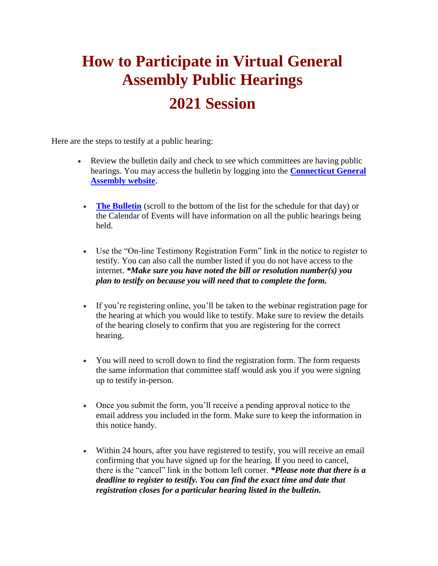## **How to Participate in Virtual General Assembly Public Hearings**

## **2021 Session**

Here are the steps to testify at a public hearing:

- Review the bulletin daily and check to see which committees are having public hearings. You may access the bulletin by logging into the **[Connecticut General](https://click.icptrack.com/icp/relay.php?r=103740473&msgid=1202080&act=IV2H&c=373633&destination=https%3A%2F%2Fwww.cga.ct.gov%2F&cf=150079&v=3a2b7a9970483c9850ac1e81fa547e8bf6fb2d79314f47270f8c34ea25a56f16)  [Assembly website](https://click.icptrack.com/icp/relay.php?r=103740473&msgid=1202080&act=IV2H&c=373633&destination=https%3A%2F%2Fwww.cga.ct.gov%2F&cf=150079&v=3a2b7a9970483c9850ac1e81fa547e8bf6fb2d79314f47270f8c34ea25a56f16)**.
	- **[The Bulletin](https://click.icptrack.com/icp/relay.php?r=103740473&msgid=1202080&act=IV2H&c=373633&destination=https%3A%2F%2Fwww.cga.ct.gov%2Fasp%2FCGABulletin%2FBulletin.asp&cf=150079&v=d90e759ed517ed4accc3a412b3774a9b0dbd033c9bc847714070734ac0d2def6)** (scroll to the bottom of the list for the schedule for that day) or the Calendar of Events will have information on all the public hearings being held.
	- Use the "On-line Testimony Registration Form" link in the notice to register to testify. You can also call the number listed if you do not have access to the internet. *\*Make sure you have noted the bill or resolution number(s) you plan to testify on because you will need that to complete the form.*
	- If you're registering online, you'll be taken to the webinar registration page for the hearing at which you would like to testify. Make sure to review the details of the hearing closely to confirm that you are registering for the correct hearing.
	- You will need to scroll down to find the registration form. The form requests the same information that committee staff would ask you if you were signing up to testify in-person.
	- Once you submit the form, you'll receive a pending approval notice to the email address you included in the form. Make sure to keep the information in this notice handy.
	- Within 24 hours, after you have registered to testify, you will receive an email confirming that you have signed up for the hearing. If you need to cancel, there is the "cancel" link in the bottom left corner. *\*Please note that there is a deadline to register to testify. You can find the exact time and date that registration closes for a particular hearing listed in the bulletin.*